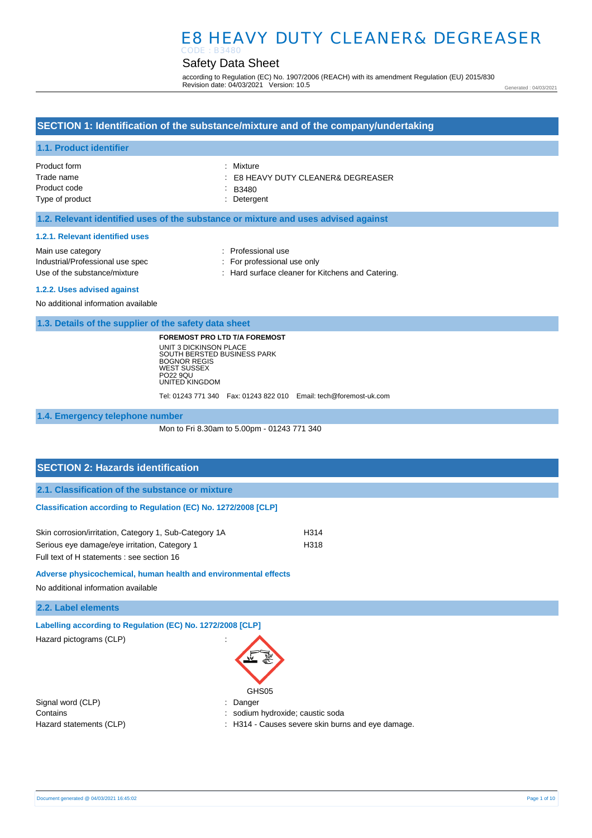## Safety Data Sheet

according to Regulation (EC) No. 1907/2006 (REACH) with its amendment Regulation (EU) 2015/830 Revision date: 04/03/2021 Version: 10.5

Generated : 04/03/2021

### **SECTION 1: Identification of the substance/mixture and of the company/undertaking**

### **1.1. Product identifier**

| Product form    | : Mixture                                     |
|-----------------|-----------------------------------------------|
| Trade name      | $\therefore$ E8 HEAVY DUTY CLEANER& DEGREASER |
| Product code    | $\therefore$ B3480                            |
| Type of product | : Detergent                                   |
|                 |                                               |

### **1.2. Relevant identified uses of the substance or mixture and uses advised against**

#### **1.2.1. Relevant identified uses**

| Main use category                | : Professional use                                |
|----------------------------------|---------------------------------------------------|
| Industrial/Professional use spec | : For professional use only                       |
| Use of the substance/mixture     | : Hard surface cleaner for Kitchens and Catering. |
| .                                |                                                   |

#### **1.2.2. Uses advised against**

No additional information available

**1.3. Details of the supplier of the safety data sheet**

**FOREMOST PRO LTD T/A FOREMOST** UNIT 3 DICKINSON PLACE SOUTH BERSTED BUSINESS PARK BOGNOR REGIS WEST SUSSEX PO22 9QU UNITED KINGDOM

Tel: 01243 771 340 Fax: 01243 822 010 Email: tech@foremost-uk.com

**1.4. Emergency telephone number**

Mon to Fri 8.30am to 5.00pm - 01243 771 340

# **SECTION 2: Hazards identification 2.1. Classification of the substance or mixture Classification according to Regulation (EC) No. 1272/2008 [CLP]** Skin corrosion/irritation, Category 1, Sub-Category 1A H314 Serious eye damage/eye irritation, Category 1 H318 Full text of H statements : see section 16

**Adverse physicochemical, human health and environmental effects** 

No additional information available

**2.2. Label elements**

**Labelling according to Regulation (EC) No. 1272/2008 [CLP]** 

Hazard pictograms (CLP) in the state of the state of the state of the state of the state of the state of the state of the state of the state of the state of the state of the state of the state of the state of the state of

| GHS05 |
|-------|

Signal word (CLP)  $\qquad \qquad$ : Danger Contains **Contains Contains Contains Contains Contains Contains Contains Contains Contains Contains Contains Contains Contains Contains Contains Contains Contains Contains Contains Con** 

- 
- Hazard statements (CLP) : H314 Causes severe skin burns and eye damage.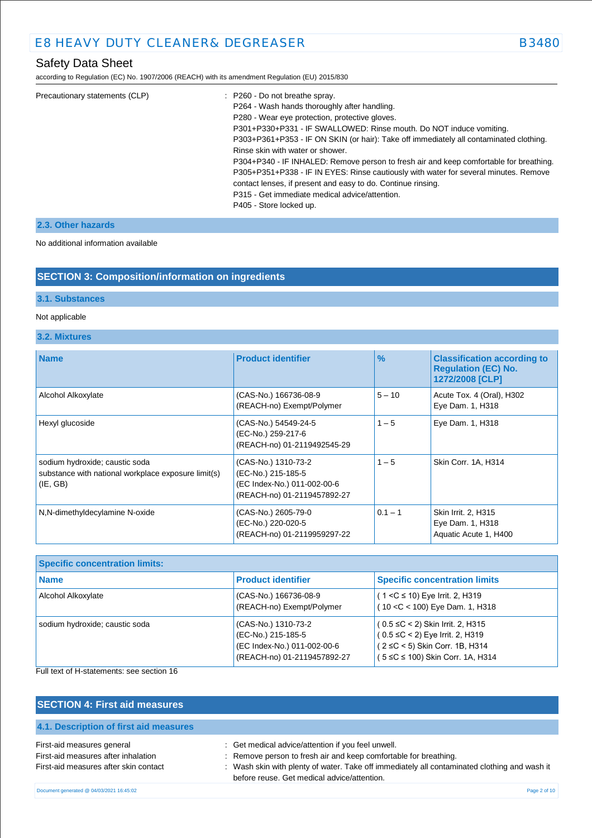according to Regulation (EC) No. 1907/2006 (REACH) with its amendment Regulation (EU) 2015/830

| P301+P330+P331 - IF SWALLOWED: Rinse mouth. Do NOT induce vomiting.                    |
|----------------------------------------------------------------------------------------|
| P303+P361+P353 - IF ON SKIN (or hair): Take off immediately all contaminated clothing. |
|                                                                                        |
| P304+P340 - IF INHALED: Remove person to fresh air and keep comfortable for breathing. |
| P305+P351+P338 - IF IN EYES: Rinse cautiously with water for several minutes. Remove   |
|                                                                                        |
|                                                                                        |
|                                                                                        |
|                                                                                        |

### **2.3. Other hazards**

No additional information available

## **SECTION 3: Composition/information on ingredients**

### **3.1. Substances**

### Not applicable

### **3.2. Mixtures**

| <b>Name</b>                                                                                       | <b>Product identifier</b>                                                                               | $\%$      | <b>Classification according to</b><br><b>Requlation (EC) No.</b><br>1272/2008 [CLP] |
|---------------------------------------------------------------------------------------------------|---------------------------------------------------------------------------------------------------------|-----------|-------------------------------------------------------------------------------------|
| Alcohol Alkoxylate                                                                                | (CAS-No.) 166736-08-9<br>(REACH-no) Exempt/Polymer                                                      | $5 - 10$  | Acute Tox. 4 (Oral), H302<br>Eye Dam. 1, H318                                       |
| Hexyl glucoside                                                                                   | (CAS-No.) 54549-24-5<br>(EC-No.) 259-217-6<br>(REACH-no) 01-2119492545-29                               | $1 - 5$   | Eye Dam. 1, H318                                                                    |
| sodium hydroxide; caustic soda<br>substance with national workplace exposure limit(s)<br>(IE, GB) | (CAS-No.) 1310-73-2<br>(EC-No.) 215-185-5<br>(EC Index-No.) 011-002-00-6<br>(REACH-no) 01-2119457892-27 | $1 - 5$   | Skin Corr. 1A, H314                                                                 |
| N,N-dimethyldecylamine N-oxide                                                                    | (CAS-No.) 2605-79-0<br>(EC-No.) 220-020-5<br>(REACH-no) 01-2119959297-22                                | $0.1 - 1$ | Skin Irrit. 2, H315<br>Eye Dam. 1, H318<br>Aquatic Acute 1, H400                    |

| <b>Specific concentration limits:</b> |                                                                                                         |                                                                                                                                                      |  |
|---------------------------------------|---------------------------------------------------------------------------------------------------------|------------------------------------------------------------------------------------------------------------------------------------------------------|--|
| Name                                  | <b>Product identifier</b>                                                                               | <b>Specific concentration limits</b>                                                                                                                 |  |
| Alcohol Alkoxylate                    | (CAS-No.) 166736-08-9<br>(REACH-no) Exempt/Polymer                                                      | $(1 < C \le 10)$ Eye Irrit. 2, H319<br>$(10 < C < 100)$ Eye Dam. 1, H318                                                                             |  |
| sodium hydroxide; caustic soda        | (CAS-No.) 1310-73-2<br>(EC-No.) 215-185-5<br>(EC Index-No.) 011-002-00-6<br>(REACH-no) 01-2119457892-27 | $(0.5 \leq C < 2)$ Skin Irrit. 2, H315<br>$(0.5 \le C < 2)$ Eye Irrit. 2, H319<br>(2 ≤C < 5) Skin Corr. 1B, H314<br>(5 ≤C ≤ 100) Skin Corr. 1A, H314 |  |

## Full text of H-statements: see section 16

| <b>SECTION 4: First aid measures</b>                                                                       |                                                                                                                                                                                                                                                                       |
|------------------------------------------------------------------------------------------------------------|-----------------------------------------------------------------------------------------------------------------------------------------------------------------------------------------------------------------------------------------------------------------------|
| 4.1. Description of first aid measures                                                                     |                                                                                                                                                                                                                                                                       |
| First-aid measures general<br>First-aid measures after inhalation<br>First-aid measures after skin contact | : Get medical advice/attention if you feel unwell.<br>: Remove person to fresh air and keep comfortable for breathing.<br>: Wash skin with plenty of water. Take off immediately all contaminated clothing and wash it<br>before reuse. Get medical advice/attention. |
| Document generated @ 04/03/2021 16:45:02                                                                   | Page 2 of 10                                                                                                                                                                                                                                                          |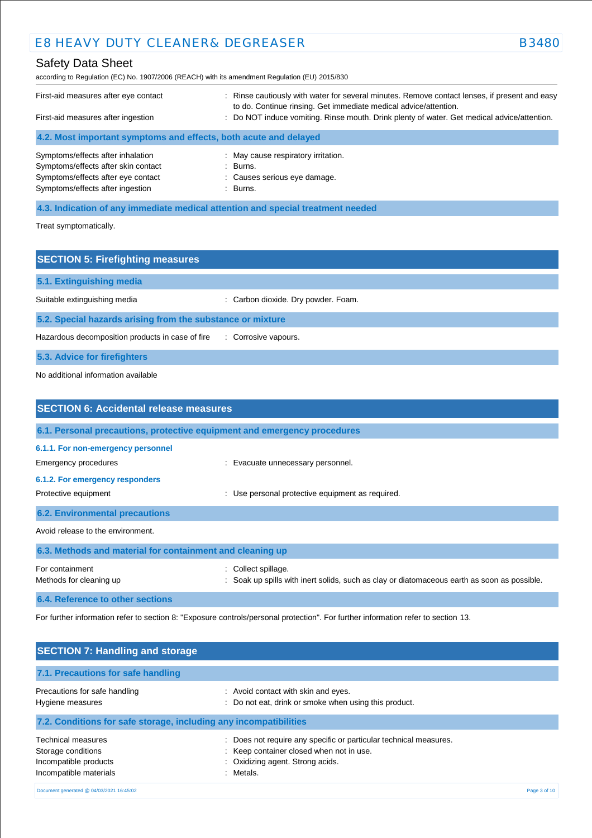## Safety Data Sheet

according to Regulation (EC) No. 1907/2006 (REACH) with its amendment Regulation (EU) 2015/830

| First-aid measures after eye contact<br>First-aid measures after ingestion                                     | Rinse cautiously with water for several minutes. Remove contact lenses, if present and easy<br>to do. Continue rinsing. Get immediate medical advice/attention.<br>: Do NOT induce vomiting. Rinse mouth. Drink plenty of water. Get medical advice/attention. |
|----------------------------------------------------------------------------------------------------------------|----------------------------------------------------------------------------------------------------------------------------------------------------------------------------------------------------------------------------------------------------------------|
| 4.2. Most important symptoms and effects, both acute and delayed                                               |                                                                                                                                                                                                                                                                |
| Symptoms/effects after inhalation<br>Symptoms/effects after skin contact<br>Symptoms/effects after eye contact | : May cause respiratory irritation.<br>: Burns.<br>: Causes serious eye damage.                                                                                                                                                                                |

Symptoms/effects after ingestion **in the symptoms/effects** after ingestion

**4.3. Indication of any immediate medical attention and special treatment needed**

Treat symptomatically.

| <b>SECTION 5: Firefighting measures</b>                    |                                     |  |
|------------------------------------------------------------|-------------------------------------|--|
| 5.1. Extinguishing media                                   |                                     |  |
| Suitable extinguishing media                               | : Carbon dioxide. Dry powder. Foam. |  |
| 5.2. Special hazards arising from the substance or mixture |                                     |  |
| Hazardous decomposition products in case of fire           | : Corrosive vapours.                |  |
| 5.3. Advice for firefighters                               |                                     |  |

No additional information available

| <b>SECTION 6: Accidental release measures</b>                                                                         |                                                                                                                        |  |
|-----------------------------------------------------------------------------------------------------------------------|------------------------------------------------------------------------------------------------------------------------|--|
| 6.1. Personal precautions, protective equipment and emergency procedures                                              |                                                                                                                        |  |
| 6.1.1. For non-emergency personnel<br>Emergency procedures<br>6.1.2. For emergency responders<br>Protective equipment | : Evacuate unnecessary personnel.<br>Use personal protective equipment as required.                                    |  |
| <b>6.2. Environmental precautions</b>                                                                                 |                                                                                                                        |  |
| Avoid release to the environment.                                                                                     |                                                                                                                        |  |
| 6.3. Methods and material for containment and cleaning up                                                             |                                                                                                                        |  |
| For containment<br>Methods for cleaning up                                                                            | Collect spillage.<br>÷.<br>: Soak up spills with inert solids, such as clay or diatomaceous earth as soon as possible. |  |
| 6.4. Reference to other sections                                                                                      |                                                                                                                        |  |

For further information refer to section 8: "Exposure controls/personal protection". For further information refer to section 13.

| <b>SECTION 7: Handling and storage</b>                                                      |                                                                                                                                                                 |              |
|---------------------------------------------------------------------------------------------|-----------------------------------------------------------------------------------------------------------------------------------------------------------------|--------------|
| 7.1. Precautions for safe handling                                                          |                                                                                                                                                                 |              |
| Precautions for safe handling<br>Hygiene measures                                           | : Avoid contact with skin and eyes.<br>Do not eat, drink or smoke when using this product.                                                                      |              |
| 7.2. Conditions for safe storage, including any incompatibilities                           |                                                                                                                                                                 |              |
| Technical measures<br>Storage conditions<br>Incompatible products<br>Incompatible materials | Does not require any specific or particular technical measures.<br>: Keep container closed when not in use.<br>: Oxidizing agent. Strong acids.<br>Metals.<br>÷ |              |
| Document generated @ 04/03/2021 16:45:02                                                    |                                                                                                                                                                 | Page 3 of 10 |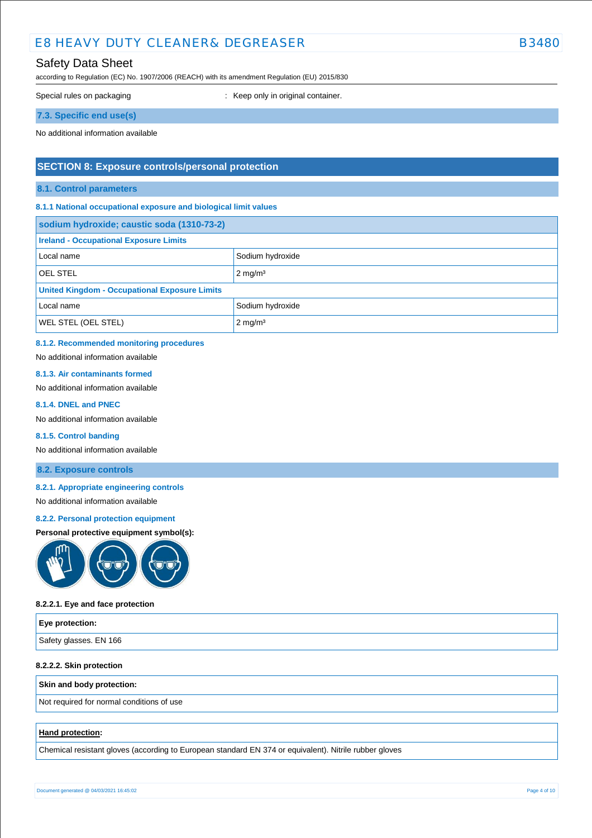## Safety Data Sheet

according to Regulation (EC) No. 1907/2006 (REACH) with its amendment Regulation (EU) 2015/830

Special rules on packaging **interest of the Container** : Keep only in original container.

### **7.3. Specific end use(s)**

No additional information available

### **SECTION 8: Exposure controls/personal protection**

### **8.1. Control parameters**

### **8.1.1 National occupational exposure and biological limit values**

| sodium hydroxide; caustic soda (1310-73-2)           |                    |  |
|------------------------------------------------------|--------------------|--|
| <b>Ireland - Occupational Exposure Limits</b>        |                    |  |
| Local name                                           | Sodium hydroxide   |  |
| <b>OEL STEL</b>                                      | $2 \text{ mg/m}^3$ |  |
| <b>United Kingdom - Occupational Exposure Limits</b> |                    |  |
| Local name                                           | Sodium hydroxide   |  |
| <b>WEL STEL (OEL STEL)</b><br>$2 \text{ mg/m}^3$     |                    |  |

### **8.1.2. Recommended monitoring procedures**

No additional information available

### **8.1.3. Air contaminants formed**

No additional information available

### **8.1.4. DNEL and PNEC**

No additional information available

### **8.1.5. Control banding**

No additional information available

### **8.2. Exposure controls**

### **8.2.1. Appropriate engineering controls**

### No additional information available

#### **8.2.2. Personal protection equipment**

### **Personal protective equipment symbol(s):**



### **8.2.2.1. Eye and face protection**

| <b>Eye protection:</b> |  |
|------------------------|--|
| Safety glasses. EN 166 |  |

### **8.2.2.2. Skin protection**

### **Skin and body protection:**

Not required for normal conditions of use

### **Hand protection:**

Chemical resistant gloves (according to European standard EN 374 or equivalent). Nitrile rubber gloves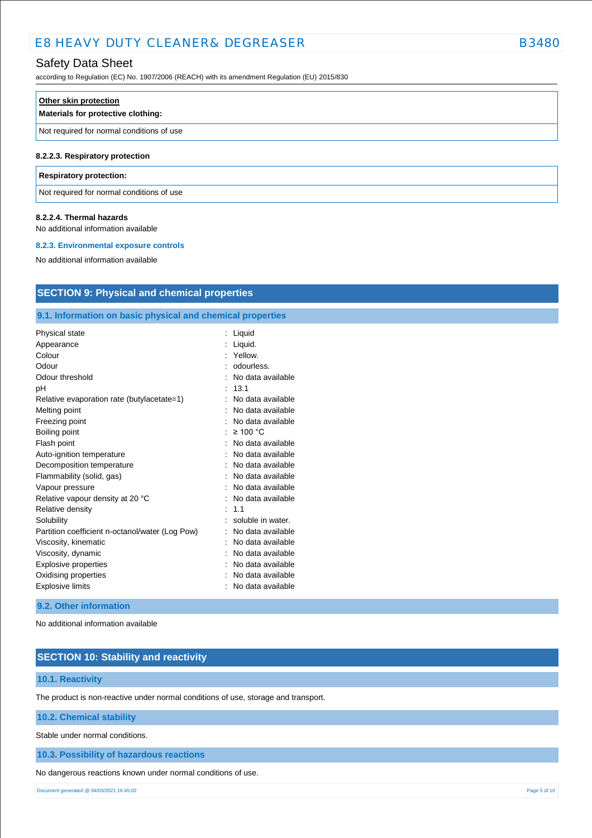## Safety Data Sheet

according to Regulation (EC) No. 1907/2006 (REACH) with its amendment Regulation (EU) 2015/830

| Other skin protection                     |  |
|-------------------------------------------|--|
| Materials for protective clothing:        |  |
| Not required for normal conditions of use |  |
| 8.2.2.3. Respiratory protection           |  |
| <b>Respiratory protection:</b>            |  |

## Not required for normal conditions of use

### **8.2.2.4. Thermal hazards**

No additional information available

### **8.2.3. Environmental exposure controls**

No additional information available

## **SECTION 9: Physical and chemical properties**

### **9.1. Information on basic physical and chemical properties**

| Physical state                                  | Liquid            |
|-------------------------------------------------|-------------------|
| Appearance                                      | Liquid.           |
| Colour                                          | Yellow.           |
| Odour                                           | odourless.        |
| Odour threshold                                 | No data available |
| рH                                              | 13.1              |
| Relative evaporation rate (butylacetate=1)      | No data available |
| Melting point                                   | No data available |
| Freezing point                                  | No data available |
| Boiling point                                   | $\geq 100$ °C     |
| Flash point                                     | No data available |
| Auto-ignition temperature                       | No data available |
| Decomposition temperature                       | No data available |
| Flammability (solid, gas)                       | No data available |
| Vapour pressure                                 | No data available |
| Relative vapour density at 20 °C                | No data available |
| Relative density                                | 1.1               |
| Solubility                                      | soluble in water. |
| Partition coefficient n-octanol/water (Log Pow) | No data available |
| Viscosity, kinematic                            | No data available |
| Viscosity, dynamic                              | No data available |
| Explosive properties                            | No data available |
| Oxidising properties                            | No data available |
| <b>Explosive limits</b>                         | No data available |
|                                                 |                   |

### **9.2. Other information**

No additional information available

## **SECTION 10: Stability and reactivity**

### **10.1. Reactivity**

The product is non-reactive under normal conditions of use, storage and transport.

### **10.2. Chemical stability**

Stable under normal conditions.

### **10.3. Possibility of hazardous reactions**

No dangerous reactions known under normal conditions of use.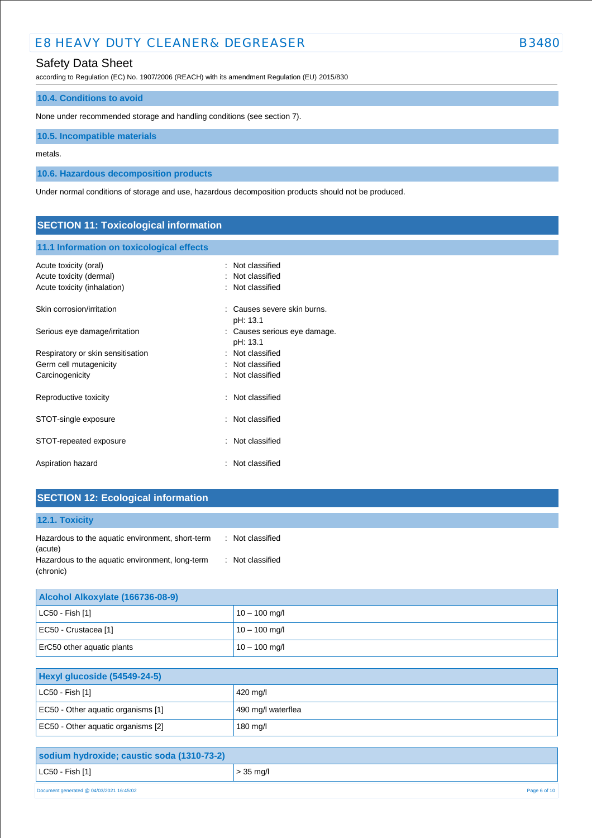## Safety Data Sheet

according to Regulation (EC) No. 1907/2006 (REACH) with its amendment Regulation (EU) 2015/830

### **10.4. Conditions to avoid**

None under recommended storage and handling conditions (see section 7).

**10.5. Incompatible materials**

metals.

**10.6. Hazardous decomposition products**

Under normal conditions of storage and use, hazardous decomposition products should not be produced.

## **SECTION 11: Toxicological information**

### **11.1 Information on toxicological effects**

| Acute toxicity (oral)<br>Acute toxicity (dermal)<br>Acute toxicity (inhalation) | : Not classified<br>: Not classified<br>Not classified |
|---------------------------------------------------------------------------------|--------------------------------------------------------|
| Skin corrosion/irritation                                                       | Causes severe skin burns.<br>pH: 13.1                  |
| Serious eye damage/irritation                                                   | : Causes serious eye damage.<br>pH: 13.1               |
| Respiratory or skin sensitisation                                               | : Not classified                                       |
| Germ cell mutagenicity                                                          | : Not classified                                       |
| Carcinogenicity                                                                 | : Not classified                                       |
| Reproductive toxicity                                                           | : Not classified                                       |
| STOT-single exposure                                                            | : Not classified                                       |
| STOT-repeated exposure                                                          | Not classified                                         |
| Aspiration hazard                                                               | : Not classified                                       |

## **SECTION 12: Ecological information**

| 12.1. Toxicity                                               |                  |
|--------------------------------------------------------------|------------------|
| Hazardous to the aquatic environment, short-term<br>(acute)  | : Not classified |
| Hazardous to the aquatic environment, long-term<br>(chronic) | : Not classified |

| Alcohol Alkoxylate (166736-08-9) |                 |
|----------------------------------|-----------------|
| $ $ LC50 - Fish [1]              | $10 - 100$ mg/l |
| EC50 - Crustacea [1]             | $10 - 100$ mg/l |
| ErC50 other aquatic plants       | $10 - 100$ mg/l |

| Hexyl glucoside (54549-24-5)       |                    |
|------------------------------------|--------------------|
| LC50 - Fish [1]                    | 420 mg/l           |
| EC50 - Other aquatic organisms [1] | 490 mg/l waterflea |
| EC50 - Other aquatic organisms [2] | 180 mg/l           |

| sodium hydroxide; caustic soda (1310-73-2) |              |
|--------------------------------------------|--------------|
| $ $ LC50 - Fish [1]                        | $> 35$ mg/l  |
| Document generated @ 04/03/2021 16:45:02   | Page 6 of 10 |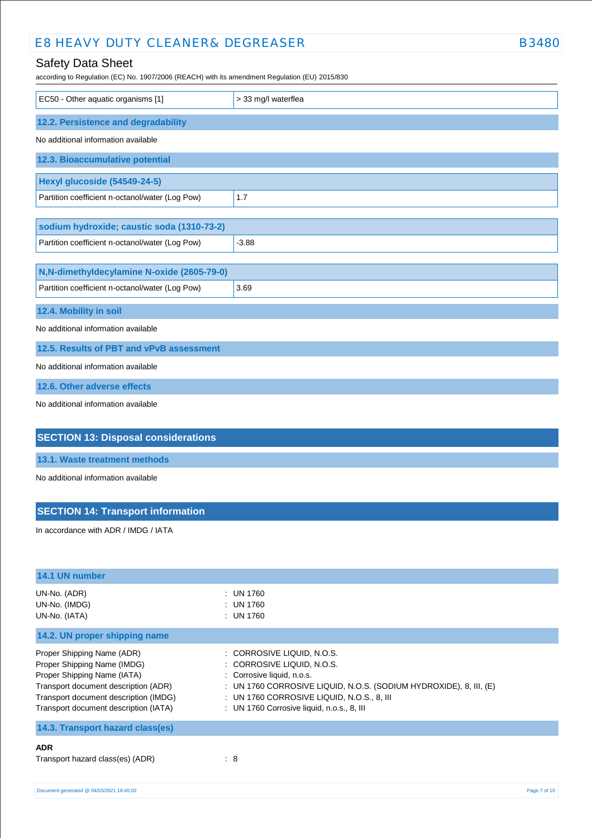according to Regulation (EC) No. 1907/2006 (REACH) with its amendment Regulation (EU) 2015/830

| EC50 - Other aquatic organisms [1]                                                            | > 33 mg/l waterflea |
|-----------------------------------------------------------------------------------------------|---------------------|
| 12.2. Persistence and degradability                                                           |                     |
| No additional information available                                                           |                     |
| 12.3. Bioaccumulative potential                                                               |                     |
| Hexyl glucoside (54549-24-5)                                                                  |                     |
| Partition coefficient n-octanol/water (Log Pow)                                               | 1.7                 |
| sodium hydroxide; caustic soda (1310-73-2)                                                    |                     |
| Partition coefficient n-octanol/water (Log Pow)                                               | $-3.88$             |
| N,N-dimethyldecylamine N-oxide (2605-79-0)<br>Partition coefficient n-octanol/water (Log Pow) | 3.69                |
| 12.4. Mobility in soil                                                                        |                     |
| No additional information available                                                           |                     |
| 12.5. Results of PBT and vPvB assessment                                                      |                     |
| No additional information available                                                           |                     |
| 12.6. Other adverse effects                                                                   |                     |
| No additional information available                                                           |                     |
| <b>SECTION 13: Disposal considerations</b>                                                    |                     |

**13.1. Waste treatment methods**

No additional information available

## **SECTION 14: Transport information**

In accordance with ADR / IMDG / IATA

| 14.1 UN number                                                                                                                                                                                                     |                                                                                                                                                                                                                                                            |              |
|--------------------------------------------------------------------------------------------------------------------------------------------------------------------------------------------------------------------|------------------------------------------------------------------------------------------------------------------------------------------------------------------------------------------------------------------------------------------------------------|--------------|
| UN-No. (ADR)<br>UN-No. (IMDG)<br>UN-No. (IATA)                                                                                                                                                                     | $:$ UN 1760<br>$:$ UN 1760<br>$:$ UN 1760                                                                                                                                                                                                                  |              |
| 14.2. UN proper shipping name                                                                                                                                                                                      |                                                                                                                                                                                                                                                            |              |
| Proper Shipping Name (ADR)<br>Proper Shipping Name (IMDG)<br>Proper Shipping Name (IATA)<br>Transport document description (ADR)<br>Transport document description (IMDG)<br>Transport document description (IATA) | : CORROSIVE LIQUID, N.O.S.<br>: CORROSIVE LIQUID, N.O.S.<br>: Corrosive liquid, n.o.s.<br>: UN 1760 CORROSIVE LIQUID, N.O.S. (SODIUM HYDROXIDE), 8, III, $(E)$<br>: UN 1760 CORROSIVE LIQUID, N.O.S., 8, III<br>: UN 1760 Corrosive liquid, n.o.s., 8, III |              |
| 14.3. Transport hazard class(es)                                                                                                                                                                                   |                                                                                                                                                                                                                                                            |              |
| <b>ADR</b><br>Transport hazard class(es) (ADR)                                                                                                                                                                     | : 8                                                                                                                                                                                                                                                        |              |
| Document generated @ 04/03/2021 16:45:02                                                                                                                                                                           |                                                                                                                                                                                                                                                            | Page 7 of 10 |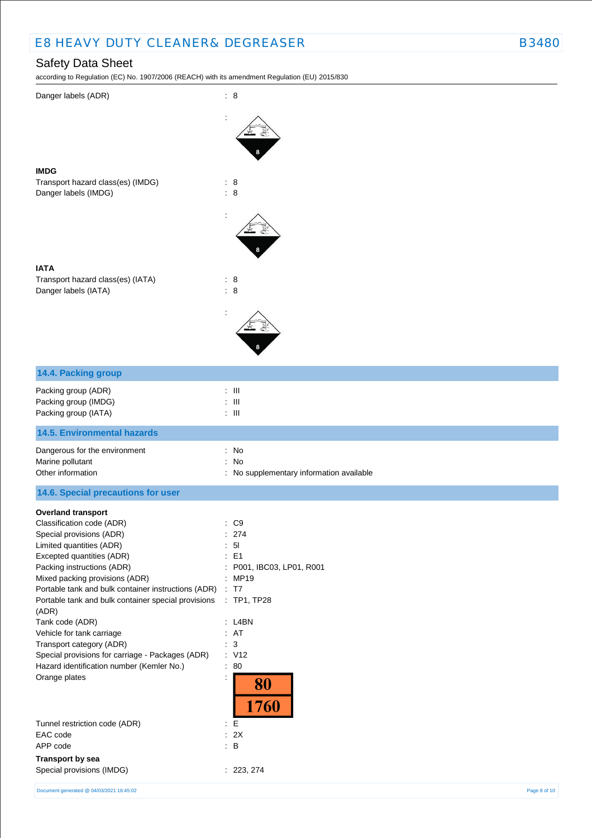Danger labels (ADR) : 8

## Safety Data Sheet

according to Regulation (EC) No. 1907/2006 (REACH) with its amendment Regulation (EU) 2015/830

:

Æ

|                                                                                                                                                                                                                                                                                                                                                                                                                                                                                                                                  | 8                                                                                                                                                                                                        |
|----------------------------------------------------------------------------------------------------------------------------------------------------------------------------------------------------------------------------------------------------------------------------------------------------------------------------------------------------------------------------------------------------------------------------------------------------------------------------------------------------------------------------------|----------------------------------------------------------------------------------------------------------------------------------------------------------------------------------------------------------|
| <b>IMDG</b><br>Transport hazard class(es) (IMDG)<br>Danger labels (IMDG)                                                                                                                                                                                                                                                                                                                                                                                                                                                         | : 8<br>$\therefore$ 8                                                                                                                                                                                    |
|                                                                                                                                                                                                                                                                                                                                                                                                                                                                                                                                  |                                                                                                                                                                                                          |
| <b>IATA</b>                                                                                                                                                                                                                                                                                                                                                                                                                                                                                                                      |                                                                                                                                                                                                          |
| Transport hazard class(es) (IATA)<br>Danger labels (IATA)                                                                                                                                                                                                                                                                                                                                                                                                                                                                        | : 8<br>: 8                                                                                                                                                                                               |
|                                                                                                                                                                                                                                                                                                                                                                                                                                                                                                                                  |                                                                                                                                                                                                          |
| 14.4. Packing group                                                                                                                                                                                                                                                                                                                                                                                                                                                                                                              |                                                                                                                                                                                                          |
| Packing group (ADR)<br>Packing group (IMDG)<br>Packing group (IATA)                                                                                                                                                                                                                                                                                                                                                                                                                                                              | $\therefore$ III<br>Ш<br>$\overline{\phantom{a}}$<br>: $\,$ III                                                                                                                                          |
| <b>14.5. Environmental hazards</b>                                                                                                                                                                                                                                                                                                                                                                                                                                                                                               |                                                                                                                                                                                                          |
| Dangerous for the environment                                                                                                                                                                                                                                                                                                                                                                                                                                                                                                    | : No                                                                                                                                                                                                     |
| Marine pollutant<br>Other information                                                                                                                                                                                                                                                                                                                                                                                                                                                                                            | No<br>÷<br>No supplementary information available                                                                                                                                                        |
| 14.6. Special precautions for user                                                                                                                                                                                                                                                                                                                                                                                                                                                                                               |                                                                                                                                                                                                          |
| <b>Overland transport</b><br>Classification code (ADR)<br>Special provisions (ADR)<br>Limited quantities (ADR)<br>Excepted quantities (ADR)<br>Packing instructions (ADR)<br>Mixed packing provisions (ADR)<br>Portable tank and bulk container instructions (ADR)<br>Portable tank and bulk container special provisions<br>(ADR)<br>Tank code (ADR)<br>Vehicle for tank carriage<br>Transport category (ADR)<br>Special provisions for carriage - Packages (ADR)<br>Hazard identification number (Kemler No.)<br>Orange plates | $\therefore$ C9<br>: 274<br>5 <sub>l</sub><br>E <sub>1</sub><br>P001, IBC03, LP01, R001<br>: MP19<br>: T7<br>$:$ TP1, TP28<br>$:$ L4BN<br>: AT<br>$\mathbf{3}$<br>÷.<br>: V12<br>: 80<br>:<br>80<br>1760 |
| Tunnel restriction code (ADR)<br>EAC code                                                                                                                                                                                                                                                                                                                                                                                                                                                                                        | : $\mathsf{E}% _{\mathsf{M}}$<br>: 2X                                                                                                                                                                    |
| APP code                                                                                                                                                                                                                                                                                                                                                                                                                                                                                                                         | $\therefore$ B                                                                                                                                                                                           |
| Transport by sea<br>Special provisions (IMDG)                                                                                                                                                                                                                                                                                                                                                                                                                                                                                    | : 223, 274                                                                                                                                                                                               |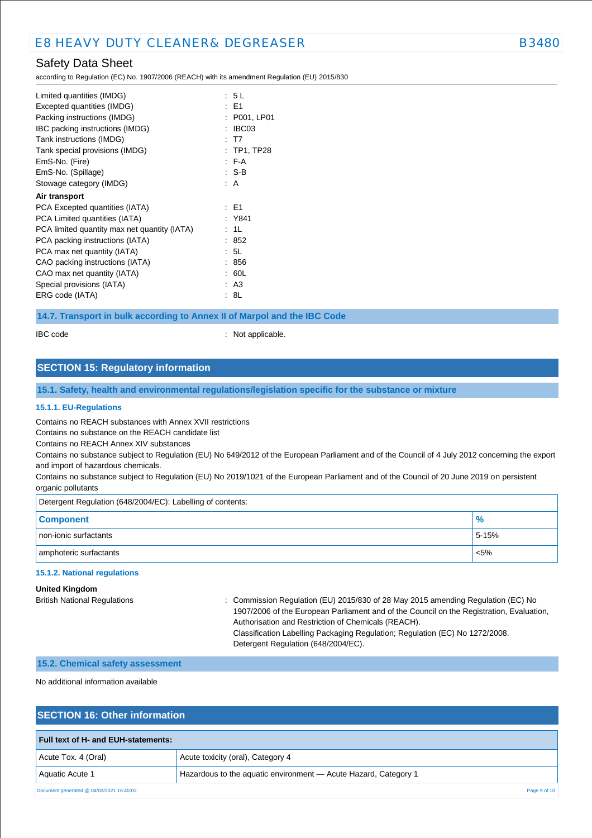## Safety Data Sheet

according to Regulation (EC) No. 1907/2006 (REACH) with its amendment Regulation (EU) 2015/830

| Limited quantities (IMDG)<br>Excepted quantities (IMDG)<br>Packing instructions (IMDG)<br>IBC packing instructions (IMDG)<br>Tank instructions (IMDG)<br>Tank special provisions (IMDG)<br>EmS-No. (Fire)<br>EmS-No. (Spillage)<br>Stowage category (IMDG) | : 5L<br>: E1<br>P001, LP01<br>IBC03<br>: T7<br>: TP1, TP28<br>F A<br>: S-B<br>: A |
|------------------------------------------------------------------------------------------------------------------------------------------------------------------------------------------------------------------------------------------------------------|-----------------------------------------------------------------------------------|
| Air transport                                                                                                                                                                                                                                              |                                                                                   |
| PCA Excepted quantities (IATA)                                                                                                                                                                                                                             | : E1                                                                              |
| PCA Limited quantities (IATA)                                                                                                                                                                                                                              | : Y841                                                                            |
| PCA limited quantity max net quantity (IATA)                                                                                                                                                                                                               | : 1L                                                                              |
| PCA packing instructions (IATA)                                                                                                                                                                                                                            | : 852                                                                             |
| PCA max net quantity (IATA)                                                                                                                                                                                                                                | : 5L                                                                              |
| CAO packing instructions (IATA)                                                                                                                                                                                                                            | 856                                                                               |
| CAO max net quantity (IATA)                                                                                                                                                                                                                                | 60L                                                                               |
| Special provisions (IATA)                                                                                                                                                                                                                                  | : A3                                                                              |
| ERG code (IATA)                                                                                                                                                                                                                                            | : 8L                                                                              |

### **14.7. Transport in bulk according to Annex II of Marpol and the IBC Code**

IBC code : Not applicable.

## **SECTION 15: Regulatory information**

**15.1. Safety, health and environmental regulations/legislation specific for the substance or mixture**

### **15.1.1. EU-Regulations**

Contains no REACH substances with Annex XVII restrictions

Contains no substance on the REACH candidate list

Contains no REACH Annex XIV substances

Contains no substance subject to Regulation (EU) No 649/2012 of the European Parliament and of the Council of 4 July 2012 concerning the export and import of hazardous chemicals.

Contains no substance subject to Regulation (EU) No 2019/1021 of the European Parliament and of the Council of 20 June 2019 on persistent organic pollutants

Detergent Regulation (648/2004/EC): Labelling of contents:

| <b>Component</b>       | $\frac{9}{6}$ |
|------------------------|---------------|
| non-ionic surfactants  | 5-15%         |
| amphoteric surfactants | $< 5\%$       |

### **15.1.2. National regulations**

**United Kingdom**

British National Regulations : Commission Regulation (EU) 2015/830 of 28 May 2015 amending Regulation (EC) No 1907/2006 of the European Parliament and of the Council on the Registration, Evaluation, Authorisation and Restriction of Chemicals (REACH). Classification Labelling Packaging Regulation; Regulation (EC) No 1272/2008. Detergent Regulation (648/2004/EC).

#### **15.2. Chemical safety assessment**

No additional information available

## **SECTION 16: Other information**

| <b>Full text of H- and EUH-statements:</b> |                                                                 |  |  |  |
|--------------------------------------------|-----------------------------------------------------------------|--|--|--|
| Acute Tox. 4 (Oral)                        | Acute toxicity (oral), Category 4                               |  |  |  |
| Aquatic Acute 1                            | Hazardous to the aquatic environment - Acute Hazard, Category 1 |  |  |  |
| Document generated @ 04/03/2021 16:45:02   | Page 9 of 10                                                    |  |  |  |